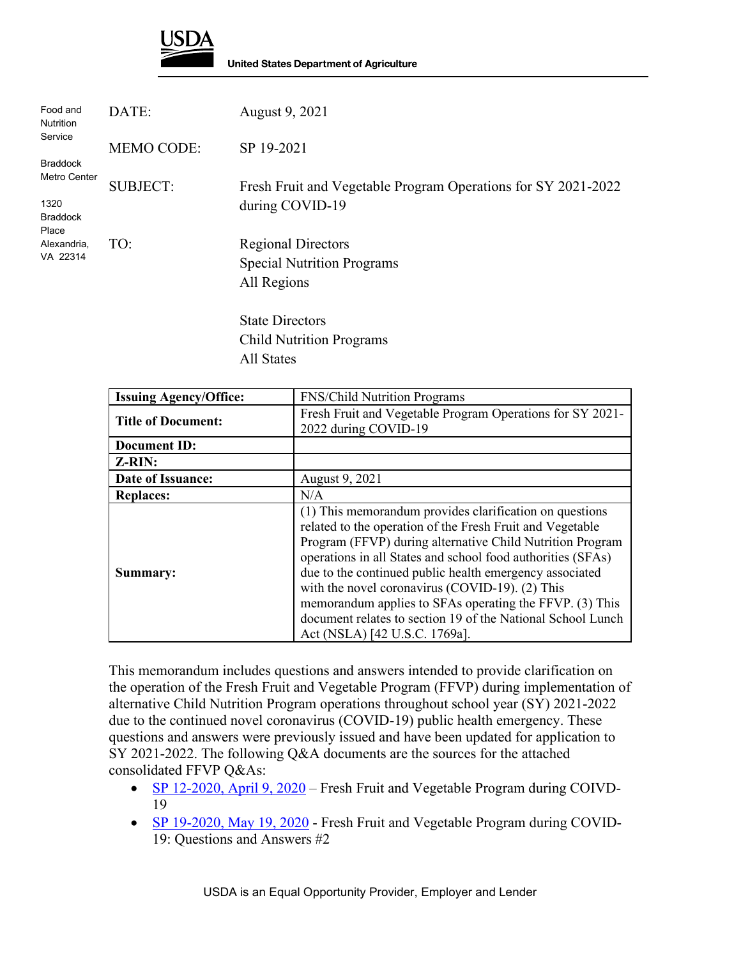

| Food and<br><b>Nutrition</b><br>Service | DATE:             | August 9, 2021                                                |
|-----------------------------------------|-------------------|---------------------------------------------------------------|
|                                         | <b>MEMO CODE:</b> | SP 19-2021                                                    |
| <b>Braddock</b>                         |                   |                                                               |
| Metro Center                            | <b>SUBJECT:</b>   | Fresh Fruit and Vegetable Program Operations for SY 2021-2022 |
| 1320                                    |                   | during COVID-19                                               |
| <b>Braddock</b>                         |                   |                                                               |
| Place                                   |                   |                                                               |
| Alexandria,<br>VA 22314                 | TO:               | <b>Regional Directors</b>                                     |
|                                         |                   | <b>Special Nutrition Programs</b>                             |
|                                         |                   | All Regions                                                   |
|                                         |                   | <b>State Directors</b>                                        |
|                                         |                   |                                                               |
|                                         |                   | <b>Child Nutrition Programs</b>                               |

All States

| <b>Issuing Agency/Office:</b> | <b>FNS/Child Nutrition Programs</b>                                                                                                                                                                                                                                                                                                                                                                                                                                                                                       |
|-------------------------------|---------------------------------------------------------------------------------------------------------------------------------------------------------------------------------------------------------------------------------------------------------------------------------------------------------------------------------------------------------------------------------------------------------------------------------------------------------------------------------------------------------------------------|
| <b>Title of Document:</b>     | Fresh Fruit and Vegetable Program Operations for SY 2021-<br>2022 during COVID-19                                                                                                                                                                                                                                                                                                                                                                                                                                         |
| <b>Document ID:</b>           |                                                                                                                                                                                                                                                                                                                                                                                                                                                                                                                           |
| Z-RIN:                        |                                                                                                                                                                                                                                                                                                                                                                                                                                                                                                                           |
| Date of Issuance:             | August 9, 2021                                                                                                                                                                                                                                                                                                                                                                                                                                                                                                            |
| <b>Replaces:</b>              | N/A                                                                                                                                                                                                                                                                                                                                                                                                                                                                                                                       |
| Summary:                      | (1) This memorandum provides clarification on questions<br>related to the operation of the Fresh Fruit and Vegetable<br>Program (FFVP) during alternative Child Nutrition Program<br>operations in all States and school food authorities (SFAs)<br>due to the continued public health emergency associated<br>with the novel coronavirus (COVID-19). (2) This<br>memorandum applies to SFAs operating the FFVP. (3) This<br>document relates to section 19 of the National School Lunch<br>Act (NSLA) [42 U.S.C. 1769a]. |

This memorandum includes questions and answers intended to provide clarification on the operation of the Fresh Fruit and Vegetable Program (FFVP) during implementation of alternative Child Nutrition Program operations throughout school year (SY) 2021-2022 due to the continued novel coronavirus (COVID-19) public health emergency. These questions and answers were previously issued and have been updated for application to SY 2021-2022. The following Q&A documents are the sources for the attached consolidated FFVP Q&As:

- [SP 12-2020, April 9, 2020](https://www.fns.usda.gov/cn/covid-19/ffvp-during-covid19) Fresh Fruit and Vegetable Program during COIVD-19
- [SP 19-2020, May 19, 2020](https://www.fns.usda.gov/ffvp/covid-19-qas-2) Fresh Fruit and Vegetable Program during COVID-19: Questions and Answers #2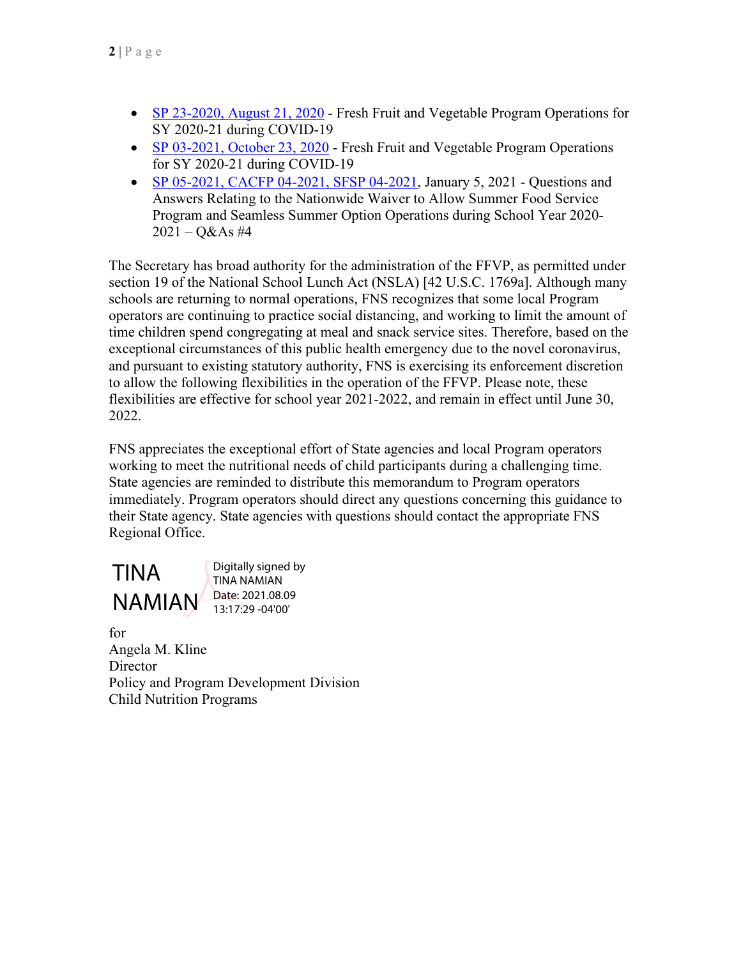- [SP 23-2020, August 21, 2020](https://www.fns.usda.gov/disaster/pandemic/covid-19/ffvp-program-operations-sy-2020-21) Fresh Fruit and Vegetable Program Operations for SY 2020-21 during COVID-19
- [SP 03-2021, October 23, 2020](https://www.fns.usda.gov/disaster/pandemic/covid-19/ffvp-operations-sy-2020-21-during-covid-19) Fresh Fruit and Vegetable Program Operations for SY 2020-21 during COVID-19
- [SP 05-2021, CACFP 04-2021, SFSP 04-2021,](https://www.fns.usda.gov/cn/pandemic/covid-19/qas4-nationwide-waiver-sfsp-sso-sy-2020-21) January 5, 2021 Questions and Answers Relating to the Nationwide Waiver to Allow Summer Food Service Program and Seamless Summer Option Operations during School Year 2020- 2021 – Q&As #4

The Secretary has broad authority for the administration of the FFVP, as permitted under section 19 of the National School Lunch Act (NSLA) [42 U.S.C. 1769a]. Although many schools are returning to normal operations, FNS recognizes that some local Program operators are continuing to practice social distancing, and working to limit the amount of time children spend congregating at meal and snack service sites. Therefore, based on the exceptional circumstances of this public health emergency due to the novel coronavirus, and pursuant to existing statutory authority, FNS is exercising its enforcement discretion to allow the following flexibilities in the operation of the FFVP. Please note, these flexibilities are effective for school year 2021-2022, and remain in effect until June 30, 2022.

FNS appreciates the exceptional effort of State agencies and local Program operators working to meet the nutritional needs of child participants during a challenging time. State agencies are reminded to distribute this memorandum to Program operators immediately. Program operators should direct any questions concerning this guidance to their State agency. State agencies with questions should contact the appropriate FNS Regional Office.



for Angela M. Kline **Director** Policy and Program Development Division Child Nutrition Programs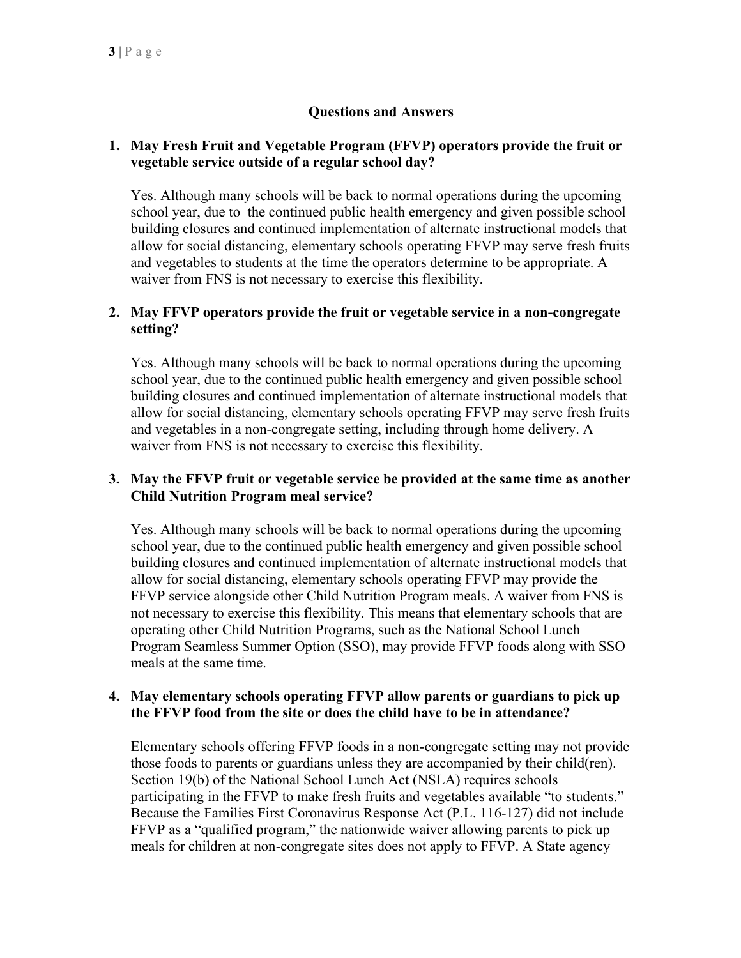# **Questions and Answers**

### **1. May Fresh Fruit and Vegetable Program (FFVP) operators provide the fruit or vegetable service outside of a regular school day?**

Yes. Although many schools will be back to normal operations during the upcoming school year, due to the continued public health emergency and given possible school building closures and continued implementation of alternate instructional models that allow for social distancing, elementary schools operating FFVP may serve fresh fruits and vegetables to students at the time the operators determine to be appropriate. A waiver from FNS is not necessary to exercise this flexibility.

### **2. May FFVP operators provide the fruit or vegetable service in a non-congregate setting?**

Yes. Although many schools will be back to normal operations during the upcoming school year, due to the continued public health emergency and given possible school building closures and continued implementation of alternate instructional models that allow for social distancing, elementary schools operating FFVP may serve fresh fruits and vegetables in a non-congregate setting, including through home delivery. A waiver from FNS is not necessary to exercise this flexibility.

### **3. May the FFVP fruit or vegetable service be provided at the same time as another Child Nutrition Program meal service?**

Yes. Although many schools will be back to normal operations during the upcoming school year, due to the continued public health emergency and given possible school building closures and continued implementation of alternate instructional models that allow for social distancing, elementary schools operating FFVP may provide the FFVP service alongside other Child Nutrition Program meals. A waiver from FNS is not necessary to exercise this flexibility. This means that elementary schools that are operating other Child Nutrition Programs, such as the National School Lunch Program Seamless Summer Option (SSO), may provide FFVP foods along with SSO meals at the same time.

#### **4. May elementary schools operating FFVP allow parents or guardians to pick up the FFVP food from the site or does the child have to be in attendance?**

Elementary schools offering FFVP foods in a non-congregate setting may not provide those foods to parents or guardians unless they are accompanied by their child(ren). Section 19(b) of the National School Lunch Act (NSLA) requires schools participating in the FFVP to make fresh fruits and vegetables available "to students." Because the Families First Coronavirus Response Act (P.L. 116-127) did not include FFVP as a "qualified program," the nationwide waiver allowing parents to pick up meals for children at non-congregate sites does not apply to FFVP. A State agency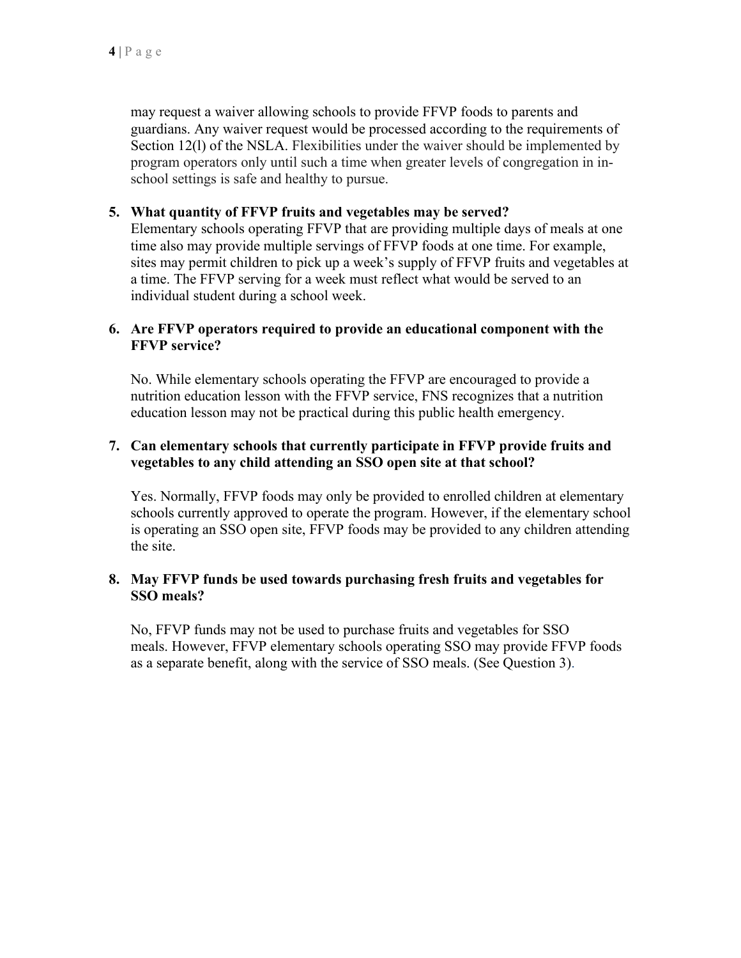may request a waiver allowing schools to provide FFVP foods to parents and guardians. Any waiver request would be processed according to the requirements of Section 12(l) of the NSLA. Flexibilities under the waiver should be implemented by program operators only until such a time when greater levels of congregation in inschool settings is safe and healthy to pursue.

# **5. What quantity of FFVP fruits and vegetables may be served?**

Elementary schools operating FFVP that are providing multiple days of meals at one time also may provide multiple servings of FFVP foods at one time. For example, sites may permit children to pick up a week's supply of FFVP fruits and vegetables at a time. The FFVP serving for a week must reflect what would be served to an individual student during a school week.

### **6. Are FFVP operators required to provide an educational component with the FFVP service?**

No. While elementary schools operating the FFVP are encouraged to provide a nutrition education lesson with the FFVP service, FNS recognizes that a nutrition education lesson may not be practical during this public health emergency.

### **7. Can elementary schools that currently participate in FFVP provide fruits and vegetables to any child attending an SSO open site at that school?**

Yes. Normally, FFVP foods may only be provided to enrolled children at elementary schools currently approved to operate the program. However, if the elementary school is operating an SSO open site, FFVP foods may be provided to any children attending the site.

### **8. May FFVP funds be used towards purchasing fresh fruits and vegetables for SSO meals?**

No, FFVP funds may not be used to purchase fruits and vegetables for SSO meals. However, FFVP elementary schools operating SSO may provide FFVP foods as a separate benefit, along with the service of SSO meals. (See Question 3).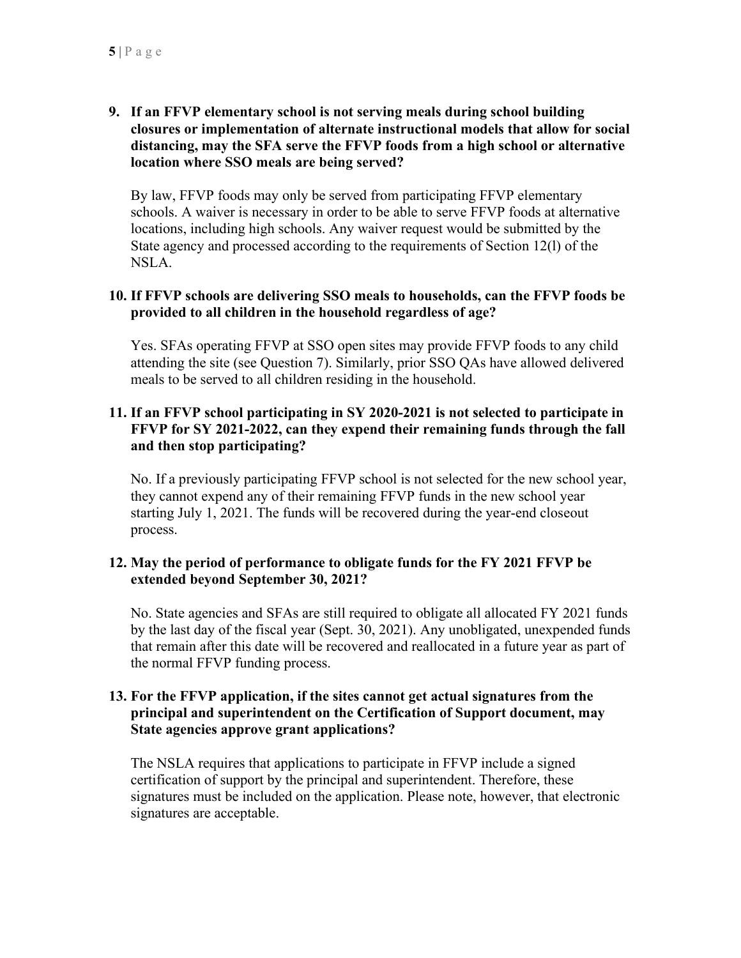# **9. If an FFVP elementary school is not serving meals during school building closures or implementation of alternate instructional models that allow for social distancing, may the SFA serve the FFVP foods from a high school or alternative location where SSO meals are being served?**

By law, FFVP foods may only be served from participating FFVP elementary schools. A waiver is necessary in order to be able to serve FFVP foods at alternative locations, including high schools. Any waiver request would be submitted by the State agency and processed according to the requirements of Section 12(l) of the NSLA.

### **10. If FFVP schools are delivering SSO meals to households, can the FFVP foods be provided to all children in the household regardless of age?**

Yes. SFAs operating FFVP at SSO open sites may provide FFVP foods to any child attending the site (see Question 7). Similarly, prior SSO QAs have allowed delivered meals to be served to all children residing in the household.

# **11. If an FFVP school participating in SY 2020-2021 is not selected to participate in FFVP for SY 2021-2022, can they expend their remaining funds through the fall and then stop participating?**

No. If a previously participating FFVP school is not selected for the new school year, they cannot expend any of their remaining FFVP funds in the new school year starting July 1, 2021. The funds will be recovered during the year-end closeout process.

### **12. May the period of performance to obligate funds for the FY 2021 FFVP be extended beyond September 30, 2021?**

No. State agencies and SFAs are still required to obligate all allocated FY 2021 funds by the last day of the fiscal year (Sept. 30, 2021). Any unobligated, unexpended funds that remain after this date will be recovered and reallocated in a future year as part of the normal FFVP funding process.

## **13. For the FFVP application, if the sites cannot get actual signatures from the principal and superintendent on the Certification of Support document, may State agencies approve grant applications?**

The NSLA requires that applications to participate in FFVP include a signed certification of support by the principal and superintendent. Therefore, these signatures must be included on the application. Please note, however, that electronic signatures are acceptable.